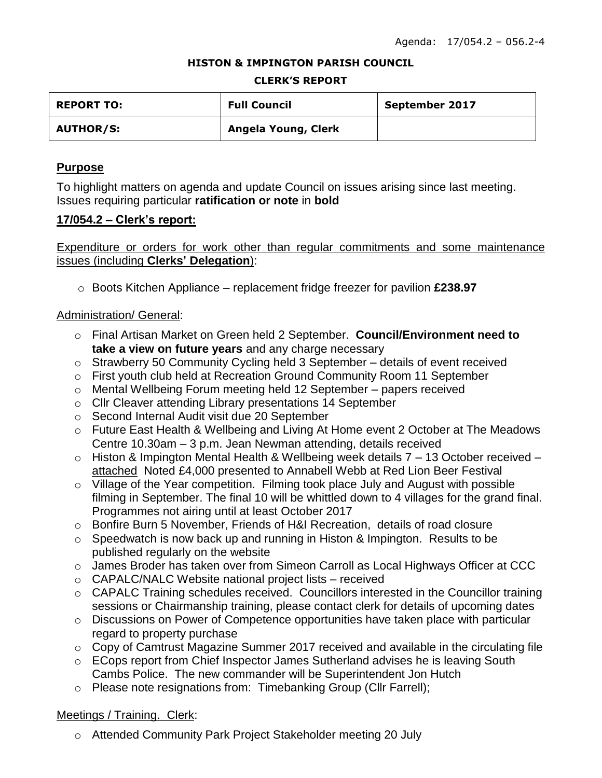#### **HISTON & IMPINGTON PARISH COUNCIL**

#### **CLERK'S REPORT**

| <b>REPORT TO:</b> | <b>Full Council</b> | September 2017 |
|-------------------|---------------------|----------------|
| <b>AUTHOR/S:</b>  | Angela Young, Clerk |                |

### **Purpose**

To highlight matters on agenda and update Council on issues arising since last meeting. Issues requiring particular **ratification or note** in **bold**

### **17/054.2 – Clerk's report:**

Expenditure or orders for work other than regular commitments and some maintenance issues (including **Clerks' Delegation**):

o Boots Kitchen Appliance – replacement fridge freezer for pavilion **£238.97**

## Administration/ General:

- o Final Artisan Market on Green held 2 September. **Council/Environment need to take a view on future years** and any charge necessary
- o Strawberry 50 Community Cycling held 3 September details of event received
- o First youth club held at Recreation Ground Community Room 11 September
- o Mental Wellbeing Forum meeting held 12 September papers received
- o Cllr Cleaver attending Library presentations 14 September
- o Second Internal Audit visit due 20 September
- o Future East Health & Wellbeing and Living At Home event 2 October at The Meadows Centre 10.30am – 3 p.m. Jean Newman attending, details received
- o Histon & Impington Mental Health & Wellbeing week details 7 13 October received attached Noted £4,000 presented to Annabell Webb at Red Lion Beer Festival
- o Village of the Year competition. Filming took place July and August with possible filming in September. The final 10 will be whittled down to 4 villages for the grand final. Programmes not airing until at least October 2017
- o Bonfire Burn 5 November, Friends of H&I Recreation, details of road closure
- o Speedwatch is now back up and running in Histon & Impington. Results to be published regularly on the website
- o James Broder has taken over from Simeon Carroll as Local Highways Officer at CCC
- o CAPALC/NALC Website national project lists received
- o CAPALC Training schedules received. Councillors interested in the Councillor training sessions or Chairmanship training, please contact clerk for details of upcoming dates
- o Discussions on Power of Competence opportunities have taken place with particular regard to property purchase
- o Copy of Camtrust Magazine Summer 2017 received and available in the circulating file
- o ECops report from Chief Inspector James Sutherland advises he is leaving South Cambs Police. The new commander will be Superintendent Jon Hutch
- o Please note resignations from: Timebanking Group (Cllr Farrell);

## Meetings / Training. Clerk:

o Attended Community Park Project Stakeholder meeting 20 July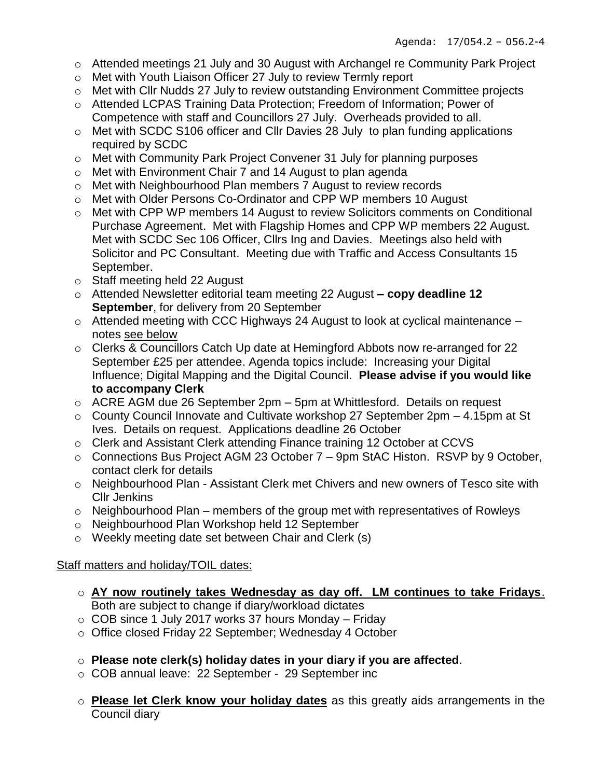- o Attended meetings 21 July and 30 August with Archangel re Community Park Project
- o Met with Youth Liaison Officer 27 July to review Termly report
- o Met with Cllr Nudds 27 July to review outstanding Environment Committee projects
- o Attended LCPAS Training Data Protection; Freedom of Information; Power of Competence with staff and Councillors 27 July. Overheads provided to all.
- o Met with SCDC S106 officer and Cllr Davies 28 July to plan funding applications required by SCDC
- o Met with Community Park Project Convener 31 July for planning purposes
- o Met with Environment Chair 7 and 14 August to plan agenda
- o Met with Neighbourhood Plan members 7 August to review records
- o Met with Older Persons Co-Ordinator and CPP WP members 10 August
- o Met with CPP WP members 14 August to review Solicitors comments on Conditional Purchase Agreement. Met with Flagship Homes and CPP WP members 22 August. Met with SCDC Sec 106 Officer, Cllrs Ing and Davies. Meetings also held with Solicitor and PC Consultant. Meeting due with Traffic and Access Consultants 15 September.
- o Staff meeting held 22 August
- o Attended Newsletter editorial team meeting 22 August **– copy deadline 12 September**, for delivery from 20 September
- $\circ$  Attended meeting with CCC Highways 24 August to look at cyclical maintenance notes see below
- o Clerks & Councillors Catch Up date at Hemingford Abbots now re-arranged for 22 September £25 per attendee. Agenda topics include: Increasing your Digital Influence; Digital Mapping and the Digital Council. **Please advise if you would like to accompany Clerk**
- o ACRE AGM due 26 September 2pm 5pm at Whittlesford. Details on request
- o County Council Innovate and Cultivate workshop 27 September 2pm 4.15pm at St Ives. Details on request. Applications deadline 26 October
- o Clerk and Assistant Clerk attending Finance training 12 October at CCVS
- o Connections Bus Project AGM 23 October 7 9pm StAC Histon. RSVP by 9 October, contact clerk for details
- o Neighbourhood Plan Assistant Clerk met Chivers and new owners of Tesco site with Cllr Jenkins
- $\circ$  Neighbourhood Plan members of the group met with representatives of Rowleys
- o Neighbourhood Plan Workshop held 12 September
- o Weekly meeting date set between Chair and Clerk (s)

# Staff matters and holiday/TOIL dates:

- o **AY now routinely takes Wednesday as day off. LM continues to take Fridays**. Both are subject to change if diary/workload dictates
- $\circ$  COB since 1 July 2017 works 37 hours Monday Friday
- o Office closed Friday 22 September; Wednesday 4 October
- o **Please note clerk(s) holiday dates in your diary if you are affected**.
- o COB annual leave: 22 September 29 September inc
- o **Please let Clerk know your holiday dates** as this greatly aids arrangements in the Council diary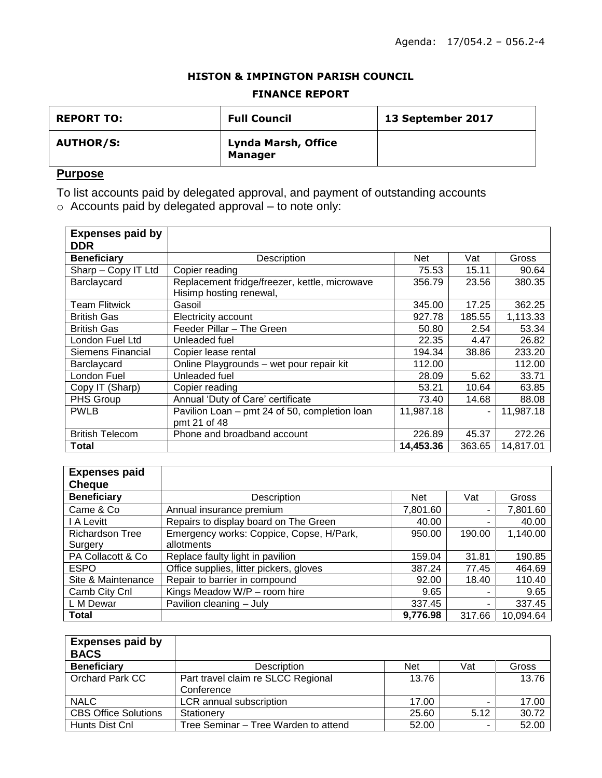### **HISTON & IMPINGTON PARISH COUNCIL**

### **FINANCE REPORT**

| <b>REPORT TO:</b> | <b>Full Council</b>                   | 13 September 2017 |
|-------------------|---------------------------------------|-------------------|
| <b>AUTHOR/S:</b>  | Lynda Marsh, Office<br><b>Manager</b> |                   |

# **Purpose**

To list accounts paid by delegated approval, and payment of outstanding accounts

 $\circ$  Accounts paid by delegated approval – to note only:

| <b>Expenses paid by</b> |                                               |           |        |           |
|-------------------------|-----------------------------------------------|-----------|--------|-----------|
| <b>DDR</b>              |                                               |           |        |           |
| <b>Beneficiary</b>      | Description                                   | Net       | Vat    | Gross     |
| Sharp - Copy IT Ltd     | Copier reading                                | 75.53     | 15.11  | 90.64     |
| Barclaycard             | Replacement fridge/freezer, kettle, microwave | 356.79    | 23.56  | 380.35    |
|                         | Hisimp hosting renewal,                       |           |        |           |
| <b>Team Flitwick</b>    | Gasoil                                        | 345.00    | 17.25  | 362.25    |
| <b>British Gas</b>      | Electricity account                           | 927.78    | 185.55 | 1,113.33  |
| <b>British Gas</b>      | Feeder Pillar - The Green                     | 50.80     | 2.54   | 53.34     |
| London Fuel Ltd         | Unleaded fuel                                 | 22.35     | 4.47   | 26.82     |
| Siemens Financial       | Copier lease rental                           | 194.34    | 38.86  | 233.20    |
| Barclaycard             | Online Playgrounds - wet pour repair kit      | 112.00    |        | 112.00    |
| London Fuel             | Unleaded fuel                                 | 28.09     | 5.62   | 33.71     |
| Copy IT (Sharp)         | Copier reading                                | 53.21     | 10.64  | 63.85     |
| PHS Group               | Annual 'Duty of Care' certificate             | 73.40     | 14.68  | 88.08     |
| <b>PWLB</b>             | Pavilion Loan - pmt 24 of 50, completion loan | 11,987.18 | ٠      | 11,987.18 |
|                         | pmt 21 of 48                                  |           |        |           |
| <b>British Telecom</b>  | Phone and broadband account                   | 226.89    | 45.37  | 272.26    |
| Total                   |                                               | 14,453.36 | 363.65 | 14,817.01 |

| <b>Expenses paid</b>   |                                          |            |        |           |
|------------------------|------------------------------------------|------------|--------|-----------|
| <b>Cheque</b>          |                                          |            |        |           |
| <b>Beneficiary</b>     | Description                              | <b>Net</b> | Vat    | Gross     |
| Came & Co              | Annual insurance premium                 | 7,801.60   |        | 7,801.60  |
| I A Levitt             | Repairs to display board on The Green    | 40.00      |        | 40.00     |
| <b>Richardson Tree</b> | Emergency works: Coppice, Copse, H/Park, | 950.00     | 190.00 | 1,140.00  |
| Surgery                | allotments                               |            |        |           |
| PA Collacott & Co      | Replace faulty light in pavilion         | 159.04     | 31.81  | 190.85    |
| <b>ESPO</b>            | Office supplies, litter pickers, gloves  | 387.24     | 77.45  | 464.69    |
| Site & Maintenance     | Repair to barrier in compound            | 92.00      | 18.40  | 110.40    |
| Camb City Cnl          | Kings Meadow W/P - room hire             | 9.65       |        | 9.65      |
| L M Dewar              | Pavilion cleaning - July                 | 337.45     |        | 337.45    |
| Total                  |                                          | 9,776.98   | 317.66 | 10,094.64 |

| <b>Expenses paid by</b><br><b>BACS</b> |                                                  |       |      |       |
|----------------------------------------|--------------------------------------------------|-------|------|-------|
| <b>Beneficiary</b>                     | Description                                      | Net   | Vat  | Gross |
| Orchard Park CC                        | Part travel claim re SLCC Regional<br>Conference | 13.76 |      | 13.76 |
| <b>NALC</b>                            | LCR annual subscription                          | 17.00 |      | 17.00 |
| <b>CBS Office Solutions</b>            | Stationerv                                       | 25.60 | 5.12 | 30.72 |
| Hunts Dist Cnl                         | Tree Seminar – Tree Warden to attend             | 52.00 | -    | 52.00 |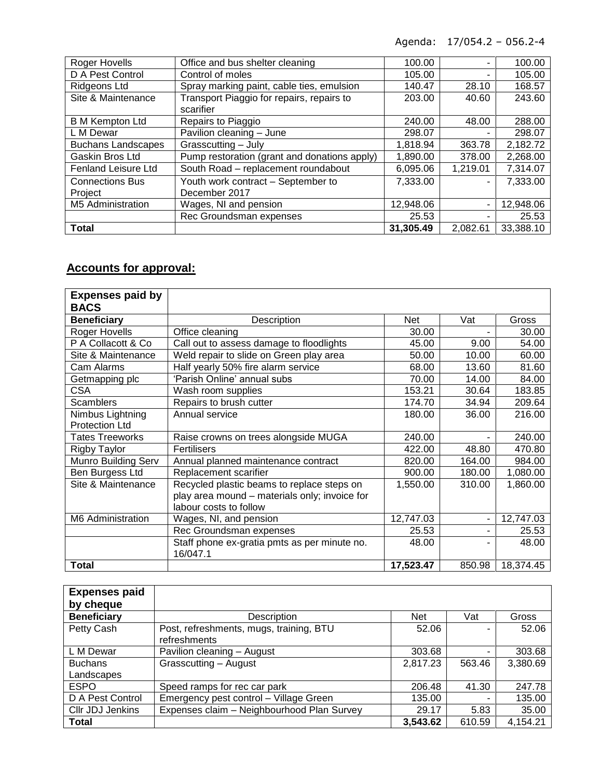Agenda: 17/054.2 – 056.2-4

| Roger Hovells              | Office and bus shelter cleaning              | 100.00    |          | 100.00    |
|----------------------------|----------------------------------------------|-----------|----------|-----------|
| D A Pest Control           | Control of moles                             | 105.00    |          | 105.00    |
| <b>Ridgeons Ltd</b>        | Spray marking paint, cable ties, emulsion    | 140.47    | 28.10    | 168.57    |
| Site & Maintenance         | Transport Piaggio for repairs, repairs to    | 203.00    | 40.60    | 243.60    |
|                            | scarifier                                    |           |          |           |
| <b>B</b> M Kempton Ltd     | Repairs to Piaggio                           | 240.00    | 48.00    | 288.00    |
| L M Dewar                  | Pavilion cleaning - June                     | 298.07    |          | 298.07    |
| <b>Buchans Landscapes</b>  | Grasscutting - July                          | 1,818.94  | 363.78   | 2,182.72  |
| Gaskin Bros Ltd            | Pump restoration (grant and donations apply) | 1,890.00  | 378.00   | 2,268.00  |
| <b>Fenland Leisure Ltd</b> | South Road - replacement roundabout          | 6,095.06  | 1,219.01 | 7,314.07  |
| <b>Connections Bus</b>     | Youth work contract - September to           | 7,333.00  |          | 7,333.00  |
| Project                    | December 2017                                |           |          |           |
| <b>M5 Administration</b>   | Wages, NI and pension                        | 12,948.06 | ۰        | 12,948.06 |
|                            | Rec Groundsman expenses                      | 25.53     |          | 25.53     |
| <b>Total</b>               |                                              | 31,305.49 | 2,082.61 | 33,388.10 |

# **Accounts for approval:**

| <b>Expenses paid by</b><br><b>BACS</b> |                                                          |           |        |           |
|----------------------------------------|----------------------------------------------------------|-----------|--------|-----------|
| <b>Beneficiary</b>                     | Description                                              | Net       | Vat    | Gross     |
| Roger Hovells                          | Office cleaning                                          | 30.00     |        | 30.00     |
| P A Collacott & Co                     | Call out to assess damage to floodlights                 | 45.00     | 9.00   | 54.00     |
| Site & Maintenance                     | Weld repair to slide on Green play area                  | 50.00     | 10.00  | 60.00     |
| Cam Alarms                             | Half yearly 50% fire alarm service                       | 68.00     | 13.60  | 81.60     |
| Getmapping plc                         | 'Parish Online' annual subs                              | 70.00     | 14.00  | 84.00     |
| <b>CSA</b>                             | Wash room supplies                                       | 153.21    | 30.64  | 183.85    |
| <b>Scamblers</b>                       | Repairs to brush cutter                                  | 174.70    | 34.94  | 209.64    |
| Nimbus Lightning                       | Annual service                                           | 180.00    | 36.00  | 216.00    |
| <b>Protection Ltd</b>                  |                                                          |           |        |           |
| <b>Tates Treeworks</b>                 | Raise crowns on trees alongside MUGA                     | 240.00    |        | 240.00    |
| Rigby Taylor                           | Fertilisers                                              | 422.00    | 48.80  | 470.80    |
| <b>Munro Building Serv</b>             | Annual planned maintenance contract                      | 820.00    | 164.00 | 984.00    |
| Ben Burgess Ltd                        | Replacement scarifier                                    | 900.00    | 180.00 | 1,080.00  |
| Site & Maintenance                     | Recycled plastic beams to replace steps on               | 1,550.00  | 310.00 | 1,860.00  |
|                                        | play area mound - materials only; invoice for            |           |        |           |
|                                        | labour costs to follow                                   |           |        |           |
| M6 Administration                      | Wages, NI, and pension                                   | 12,747.03 |        | 12,747.03 |
|                                        | Rec Groundsman expenses                                  | 25.53     |        | 25.53     |
|                                        | Staff phone ex-gratia pmts as per minute no.<br>16/047.1 | 48.00     |        | 48.00     |
| Total                                  |                                                          | 17,523.47 | 850.98 | 18,374.45 |

| <b>Expenses paid</b> |                                            |            |        |          |
|----------------------|--------------------------------------------|------------|--------|----------|
| by cheque            |                                            |            |        |          |
| <b>Beneficiary</b>   | Description                                | <b>Net</b> | Vat    | Gross    |
| Petty Cash           | Post, refreshments, mugs, training, BTU    | 52.06      |        | 52.06    |
|                      | refreshments                               |            |        |          |
| L M Dewar            | Pavilion cleaning - August                 | 303.68     | -      | 303.68   |
| <b>Buchans</b>       | Grasscutting - August                      | 2,817.23   | 563.46 | 3,380.69 |
| Landscapes           |                                            |            |        |          |
| <b>ESPO</b>          | Speed ramps for rec car park               | 206.48     | 41.30  | 247.78   |
| D A Pest Control     | Emergency pest control - Village Green     | 135.00     |        | 135.00   |
| Cllr JDJ Jenkins     | Expenses claim - Neighbourhood Plan Survey | 29.17      | 5.83   | 35.00    |
| <b>Total</b>         |                                            | 3,543.62   | 610.59 | 4,154.21 |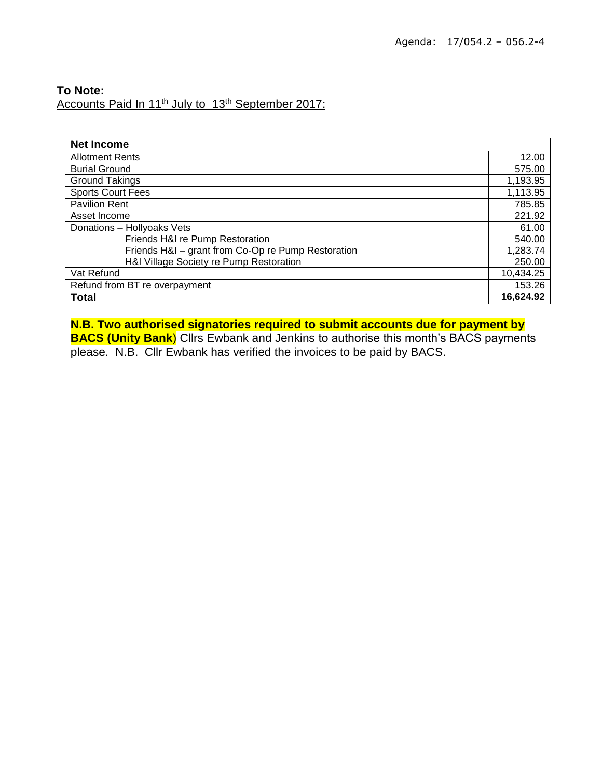# **To Note:** Accounts Paid In 11<sup>th</sup> July to 13<sup>th</sup> September 2017:

| <b>Net Income</b>                                  |           |
|----------------------------------------------------|-----------|
| <b>Allotment Rents</b>                             | 12.00     |
| <b>Burial Ground</b>                               | 575.00    |
| <b>Ground Takings</b>                              | 1,193.95  |
| <b>Sports Court Fees</b>                           | 1,113.95  |
| <b>Pavilion Rent</b>                               | 785.85    |
| Asset Income                                       | 221.92    |
| Donations - Hollyoaks Vets                         | 61.00     |
| Friends H&I re Pump Restoration                    | 540.00    |
| Friends H&I - grant from Co-Op re Pump Restoration | 1,283.74  |
| H&I Village Society re Pump Restoration            | 250.00    |
| Vat Refund                                         | 10,434.25 |
| Refund from BT re overpayment                      |           |
| <b>Total</b>                                       | 16,624.92 |

# **N.B. Two authorised signatories required to submit accounts due for payment by**

**BACS (Unity Bank**) Cllrs Ewbank and Jenkins to authorise this month's BACS payments please. N.B. Cllr Ewbank has verified the invoices to be paid by BACS.